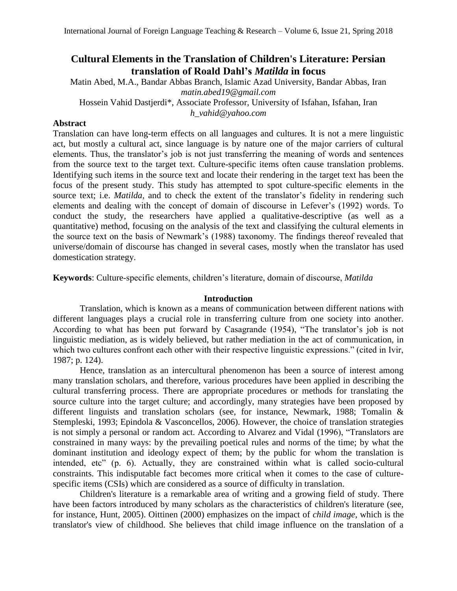# **Cultural Elements in the Translation of Children's Literature: Persian translation of Roald Dahl's** *Matilda* **in focus**

Matin Abed, M.A., Bandar Abbas Branch, Islamic Azad University, Bandar Abbas, Iran *[matin.abed19@gmail.com](mailto:matin.abed19@gmail.com)*

Hossein Vahid Dastjerdi\*, Associate Professor, University of Isfahan, Isfahan, Iran *[h\\_vahid@yahoo.com](mailto:h_vahid@yahoo.com)*

# **Abstract**

Translation can have long-term effects on all languages and cultures. It is not a mere linguistic act, but mostly a cultural act, since language is by nature one of the major carriers of cultural elements. Thus, the translator's job is not just transferring the meaning of words and sentences from the source text to the target text. Culture-specific items often cause translation problems. Identifying such items in the source text and locate their rendering in the target text has been the focus of the present study. This study has attempted to spot culture-specific elements in the source text; i.e. *Matilda,* and to check the extent of the translator's fidelity in rendering such elements and dealing with the concept of domain of discourse in Lefever's (1992) words. To conduct the study, the researchers have applied a qualitative-descriptive (as well as a quantitative) method, focusing on the analysis of the text and classifying the cultural elements in the source text on the basis of Newmark's (1988) taxonomy. The findings thereof revealed that universe/domain of discourse has changed in several cases, mostly when the translator has used domestication strategy.

**Keywords**: Culture-specific elements, children's literature, domain of discourse, *Matilda*

# **Introduction**

Translation, which is known as a means of communication between different nations with different languages plays a crucial role in transferring culture from one society into another. According to what has been put forward by Casagrande (1954), "The translator's job is not linguistic mediation, as is widely believed, but rather mediation in the act of communication, in which two cultures confront each other with their respective linguistic expressions." (cited in Ivir, 1987; p. 124).

Hence, translation as an intercultural phenomenon has been a source of interest among many translation scholars, and therefore, various procedures have been applied in describing the cultural transferring process. There are appropriate procedures or methods for translating the source culture into the target culture; and accordingly, many strategies have been proposed by different linguists and translation scholars (see, for instance, Newmark, 1988; Tomalin & Stempleski, 1993; Epindola & Vasconcellos, 2006). However, the choice of translation strategies is not simply a personal or random act. According to Alvarez and Vidal (1996), "Translators are constrained in many ways: by the prevailing poetical rules and norms of the time; by what the dominant institution and ideology expect of them; by the public for whom the translation is intended, etc" (p. 6). Actually, they are constrained within what is called socio-cultural constraints. This indisputable fact becomes more critical when it comes to the case of culturespecific items (CSIs) which are considered as a source of difficulty in translation.

Children's literature is a remarkable area of writing and a growing field of study. There have been factors introduced by many scholars as the characteristics of children's literature (see, for instance, Hunt, 2005). Oittinen (2000) emphasizes on the impact of *child image*, which is the translator's view of childhood. She believes that child image influence on the translation of a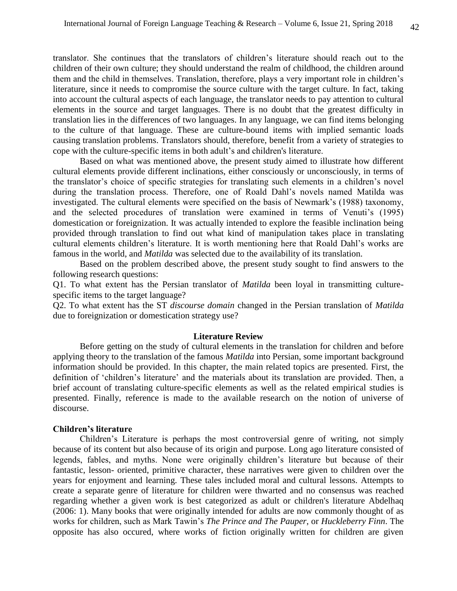translator. She continues that the translators of children's literature should reach out to the children of their own culture; they should understand the realm of childhood, the children around them and the child in themselves. Translation, therefore, plays a very important role in children's literature, since it needs to compromise the source culture with the target culture. In fact, taking into account the cultural aspects of each language, the translator needs to pay attention to cultural elements in the source and target languages. There is no doubt that the greatest difficulty in translation lies in the differences of two languages. In any language, we can find items belonging to the culture of that language. These are culture-bound items with implied semantic loads causing translation problems. Translators should, therefore, benefit from a variety of strategies to cope with the culture-specific items in both adult's and children's literature.

Based on what was mentioned above, the present study aimed to illustrate how different cultural elements provide different inclinations, either consciously or unconsciously, in terms of the translator's choice of specific strategies for translating such elements in a children's novel during the translation process. Therefore, one of Roald Dahl's novels named Matilda was investigated. The cultural elements were specified on the basis of Newmark's (1988) taxonomy, and the selected procedures of translation were examined in terms of Venuti's (1995) domestication or foreignization. It was actually intended to explore the feasible inclination being provided through translation to find out what kind of manipulation takes place in translating cultural elements children's literature. It is worth mentioning here that Roald Dahl's works are famous in the world, and *Matilda* was selected due to the availability of its translation.

Based on the problem described above, the present study sought to find answers to the following research questions:

Q1. To what extent has the Persian translator of *Matilda* been loyal in transmitting culturespecific items to the target language?

Q2. To what extent has the ST *discourse domain* changed in the Persian translation of *Matilda*  due to foreignization or domestication strategy use?

#### **Literature Review**

Before getting on the study of cultural elements in the translation for children and before applying theory to the translation of the famous *Matilda* into Persian, some important background information should be provided. In this chapter, the main related topics are presented. First, the definition of 'children's literature' and the materials about its translation are provided. Then, a brief account of translating culture-specific elements as well as the related empirical studies is presented. Finally, reference is made to the available research on the notion of universe of discourse.

### **Children's literature**

Children's Literature is perhaps the most controversial genre of writing, not simply because of its content but also because of its origin and purpose. Long ago literature consisted of legends, fables, and myths. None were originally children's literature but because of their fantastic, lesson- oriented, primitive character, these narratives were given to children over the years for enjoyment and learning. These tales included moral and cultural lessons. Attempts to create a separate genre of literature for children were thwarted and no consensus was reached regarding whether a given work is best categorized as adult or children's literature Abdelhaq (2006: 1). Many books that were originally intended for adults are now commonly thought of as works for children, such as Mark Tawin's *The Prince and The Pauper*, or *Huckleberry Finn*. The opposite has also occured, where works of fiction originally written for children are given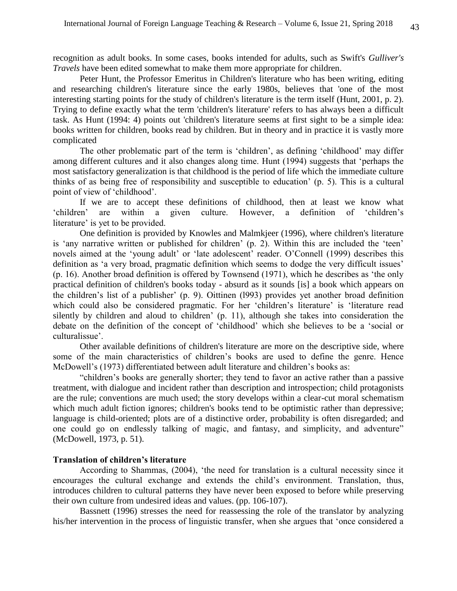recognition as adult books. In some cases, books intended for adults, such as Swift's *Gulliver's Travels* have been edited somewhat to make them more appropriate for children.

Peter Hunt, the Professor Emeritus in Children's literature who has been writing, editing and researching children's literature since the early 1980s, believes that 'one of the most interesting starting points for the study of children's literature is the term itself (Hunt, 2001, p. 2). Trying to define exactly what the term 'children's literature' refers to has always been a difficult task. As Hunt (1994: 4) points out 'children's literature seems at first sight to be a simple idea: books written for children, books read by children. But in theory and in practice it is vastly more complicated

The other problematic part of the term is 'children', as defining 'childhood' may differ among different cultures and it also changes along time. Hunt (1994) suggests that 'perhaps the most satisfactory generalization is that childhood is the period of life which the immediate culture thinks of as being free of responsibility and susceptible to education' (p. 5). This is a cultural point of view of 'childhood'.

If we are to accept these definitions of childhood, then at least we know what 'children' are within a given culture. However, a definition of 'children's literature' is yet to be provided.

One definition is provided by Knowles and Malmkjeer (1996), where children's literature is 'any narrative written or published for children' (p. 2). Within this are included the 'teen' novels aimed at the 'young adult' or 'late adolescent' reader. O'Connell (1999) describes this definition as 'a very broad, pragmatic definition which seems to dodge the very difficult issues' (p. 16). Another broad definition is offered by Townsend (1971), which he describes as 'the only practical definition of children's books today - absurd as it sounds [is] a book which appears on the children's list of a publisher' (p. 9). Oittinen (l993) provides yet another broad definition which could also be considered pragmatic. For her 'children's literature' is 'literature read silently by children and aloud to children' (p. 11), although she takes into consideration the debate on the definition of the concept of 'childhood' which she believes to be a 'social or culturalissue'.

 Other available definitions of children's literature are more on the descriptive side, where some of the main characteristics of children's books are used to define the genre. Hence McDowell's (1973) differentiated between adult literature and children's books as:

"children's books are generally shorter; they tend to favor an active rather than a passive treatment, with dialogue and incident rather than description and introspection; child protagonists are the rule; conventions are much used; the story develops within a clear-cut moral schematism which much adult fiction ignores; children's books tend to be optimistic rather than depressive; language is child-oriented; plots are of a distinctive order, probability is often disregarded; and one could go on endlessly talking of magic, and fantasy, and simplicity, and adventure" (McDowell, 1973, p. 51).

# **Translation of children's literature**

According to Shammas, (2004), 'the need for translation is a cultural necessity since it encourages the cultural exchange and extends the child's environment. Translation, thus, introduces children to cultural patterns they have never been exposed to before while preserving their own culture from undesired ideas and values. (pp. 106-107).

Bassnett (1996) stresses the need for reassessing the role of the translator by analyzing his/her intervention in the process of linguistic transfer, when she argues that 'once considered a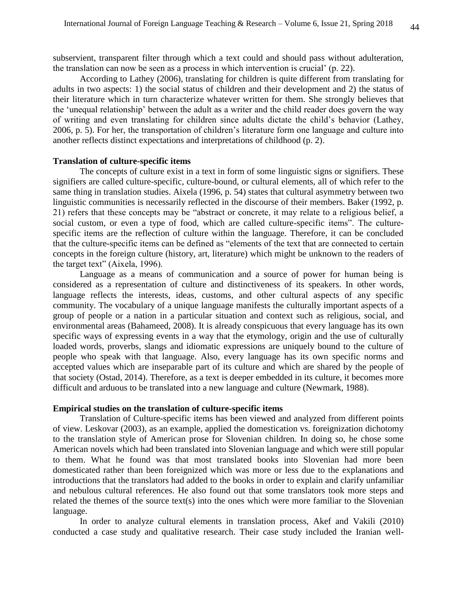subservient, transparent filter through which a text could and should pass without adulteration, the translation can now be seen as a process in which intervention is crucial' (p. 22).

According to Lathey (2006), translating for children is quite different from translating for adults in two aspects: 1) the social status of children and their development and 2) the status of their literature which in turn characterize whatever written for them. She strongly believes that the 'unequal relationship' between the adult as a writer and the child reader does govern the way of writing and even translating for children since adults dictate the child's behavior (Lathey, 2006, p. 5). For her, the transportation of children's literature form one language and culture into another reflects distinct expectations and interpretations of childhood (p. 2).

#### **Translation of culture-specific items**

The concepts of culture exist in a text in form of some linguistic signs or signifiers. These signifiers are called culture-specific, culture-bound, or cultural elements, all of which refer to the same thing in translation studies. Aixela (1996, p. 54) states that cultural asymmetry between two linguistic communities is necessarily reflected in the discourse of their members. Baker (1992, p. 21) refers that these concepts may be "abstract or concrete, it may relate to a religious belief, a social custom, or even a type of food, which are called culture-specific items". The culturespecific items are the reflection of culture within the language. Therefore, it can be concluded that the culture-specific items can be defined as "elements of the text that are connected to certain concepts in the foreign culture (history, art, literature) which might be unknown to the readers of the target text" (Aixela, 1996).

Language as a means of communication and a source of power for human being is considered as a representation of culture and distinctiveness of its speakers. In other words, language reflects the interests, ideas, customs, and other cultural aspects of any specific community. The vocabulary of a unique language manifests the culturally important aspects of a group of people or a nation in a particular situation and context such as religious, social, and environmental areas (Bahameed, 2008). It is already conspicuous that every language has its own specific ways of expressing events in a way that the etymology, origin and the use of culturally loaded words, proverbs, slangs and idiomatic expressions are uniquely bound to the culture of people who speak with that language. Also, every language has its own specific norms and accepted values which are inseparable part of its culture and which are shared by the people of that society (Ostad, 2014). Therefore, as a text is deeper embedded in its culture, it becomes more difficult and arduous to be translated into a new language and culture (Newmark, 1988).

### **Empirical studies on the translation of culture-specific items**

Translation of Culture-specific items has been viewed and analyzed from different points of view. Leskovar (2003), as an example, applied the domestication vs. foreignization dichotomy to the translation style of American prose for Slovenian children. In doing so, he chose some American novels which had been translated into Slovenian language and which were still popular to them. What he found was that most translated books into Slovenian had more been domesticated rather than been foreignized which was more or less due to the explanations and introductions that the translators had added to the books in order to explain and clarify unfamiliar and nebulous cultural references. He also found out that some translators took more steps and related the themes of the source text(s) into the ones which were more familiar to the Slovenian language.

In order to analyze cultural elements in translation process, Akef and Vakili (2010) conducted a case study and qualitative research. Their case study included the Iranian well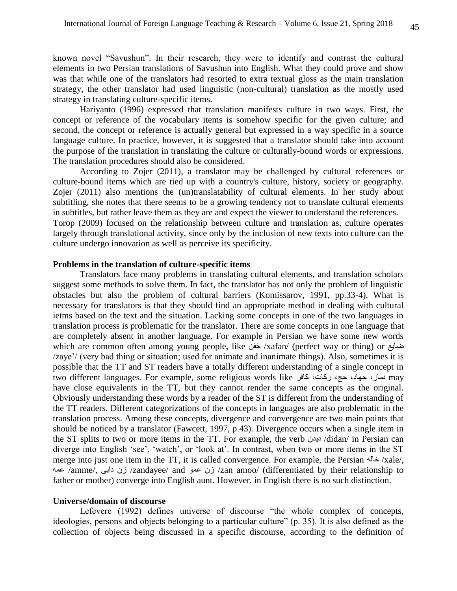known novel "Savushun". In their research, they were to identify and contrast the cultural elements in two Persian translations of Savushun into English. What they could prove and show was that while one of the translators had resorted to extra textual gloss as the main translation strategy, the other translator had used linguistic (non-cultural) translation as the mostly used strategy in translating culture-specific items.

Hariyanto (1996) expressed that translation manifests culture in two ways. First, the concept or reference of the vocabulary items is somehow specific for the given culture; and second, the concept or reference is actually general but expressed in a way specific in a source language culture. In practice, however, it is suggested that a translator should take into account the purpose of the translation in translating the culture or culturally-bound words or expressions. The translation procedures should also be considered.

According to Zojer (2011), a translator may be challenged by cultural references or culture-bound items which are tied up with a country's culture, history, society or geography. Zojer (2011) also mentions the (un)translatability of cultural elements. In her study about subtitling, she notes that there seems to be a growing tendency not to translate cultural elements in subtitles, but rather leave them as they are and expect the viewer to understand the references. Torop (2009) focused on the relationship between culture and translation as, culture operates largely through translational activity, since only by the inclusion of new texts into culture can the culture undergo innovation as well as perceive its specificity.

#### **Problems in the translation of culture-specific items**

Translators face many problems in translating cultural elements, and translation scholars suggest some methods to solve them. In fact, the translator has not only the problem of linguistic obstacles but also the problem of cultural barriers (Komissarov, 1991, pp.33-4). What is necessary for translators is that they should find an appropriate method in dealing with cultural ietms based on the text and the situation. Lacking some concepts in one of the two languages in translation process is problematic for the translator. There are some concepts in one language that are completely absent in another language. For example in Persian we have some new words which are common often among young people, like خفن /xafan/ (perfect way or thing) or ضایع /zaye'/ (very bad thing or situation; used for animate and inanimate things). Also, sometimes it is possible that the TT and ST readers have a totally different understanding of a single concept in two different languages. For example, some religious words like نماز، جهاد، حج، زکات، کافر may have close equivalents in the TT, but they cannot render the same concepts as the original. Obviously understanding these words by a reader of the ST is different from the understanding of the TT readers. Different categorizations of the concepts in languages are also problematic in the translation process. Among these concepts, divergence and convergence are two main points that should be noticed by a translator (Fawcett, 1997, p.43). Divergence occurs when a single item in the ST splits to two or more items in the TT. For example, the verb دیدن /didan/ in Persian can diverge into English 'see', 'watch', or 'look at'. In contrast, when two or more items in the ST merge into just one item in the TT, it is called convergence. For example, the Persian خاله /xale/, عمه /amme/, دایی زن /zandayee/ and عمو زن /zan amoo/ (differentiated by their relationship to father or mother) converge into English aunt. However, in English there is no such distinction.

### **Universe/domain of discourse**

Lefevere (1992) defines universe of discourse "the whole complex of concepts, ideologies, persons and objects belonging to a particular culture" (p. 35). It is also defined as the collection of objects being discussed in a specific discourse, according to the definition of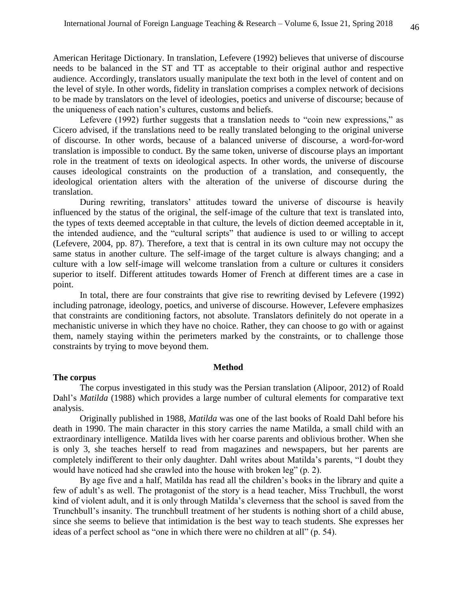American Heritage Dictionary. In translation, Lefevere (1992) believes that universe of discourse needs to be balanced in the ST and TT as acceptable to their original author and respective audience. Accordingly, translators usually manipulate the text both in the level of content and on the level of style. In other words, fidelity in translation comprises a complex network of decisions to be made by translators on the level of ideologies, poetics and universe of discourse; because of the uniqueness of each nation's cultures, customs and beliefs.

Lefevere (1992) further suggests that a translation needs to "coin new expressions," as Cicero advised, if the translations need to be really translated belonging to the original universe of discourse. In other words, because of a balanced universe of discourse, a word-for-word translation is impossible to conduct. By the same token, universe of discourse plays an important role in the treatment of texts on ideological aspects. In other words, the universe of discourse causes ideological constraints on the production of a translation, and consequently, the ideological orientation alters with the alteration of the universe of discourse during the translation.

During rewriting, translators' attitudes toward the universe of discourse is heavily influenced by the status of the original, the self-image of the culture that text is translated into, the types of texts deemed acceptable in that culture, the levels of diction deemed acceptable in it, the intended audience, and the "cultural scripts" that audience is used to or willing to accept (Lefevere, 2004, pp. 87). Therefore, a text that is central in its own culture may not occupy the same status in another culture. The self-image of the target culture is always changing; and a culture with a low self-image will welcome translation from a culture or cultures it considers superior to itself. Different attitudes towards Homer of French at different times are a case in point.

In total, there are four constraints that give rise to rewriting devised by Lefevere (1992) including patronage, ideology, poetics, and universe of discourse. However, Lefevere emphasizes that constraints are conditioning factors, not absolute. Translators definitely do not operate in a mechanistic universe in which they have no choice. Rather, they can choose to go with or against them, namely staying within the perimeters marked by the constraints, or to challenge those constraints by trying to move beyond them.

#### **Method**

#### **The corpus**

The corpus investigated in this study was the Persian translation (Alipoor, 2012) of Roald Dahl's *Matilda* (1988) which provides a large number of cultural elements for comparative text analysis.

Originally published in 1988, *Matilda* was one of the last books of Roald Dahl before his death in 1990. The main character in this story carries the name Matilda, a small child with an extraordinary intelligence. Matilda lives with her coarse parents and oblivious brother. When she is only 3, she teaches herself to read from magazines and newspapers, but her parents are completely indifferent to their only daughter. Dahl writes about Matilda's parents, "I doubt they would have noticed had she crawled into the house with broken leg" (p. 2).

By age five and a half, Matilda has read all the children's books in the library and quite a few of adult's as well. The protagonist of the story is a head teacher, Miss Truchbull, the worst kind of violent adult, and it is only through Matilda's cleverness that the school is saved from the Trunchbull's insanity. The trunchbull treatment of her students is nothing short of a child abuse, since she seems to believe that intimidation is the best way to teach students. She expresses her ideas of a perfect school as "one in which there were no children at all" (p. 54).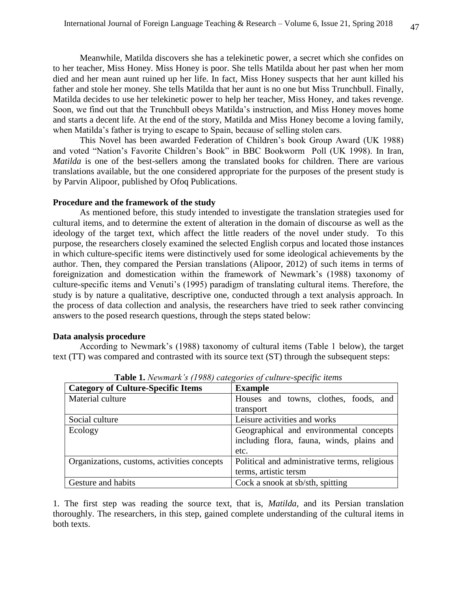Meanwhile, Matilda discovers she has a telekinetic power, a secret which she confides on to her teacher, Miss Honey. Miss Honey is poor. She tells Matilda about her past when her mom died and her mean aunt ruined up her life. In fact, Miss Honey suspects that her aunt killed his father and stole her money. She tells Matilda that her aunt is no one but Miss Trunchbull. Finally, Matilda decides to use her telekinetic power to help her teacher, Miss Honey, and takes revenge. Soon, we find out that the Trunchbull obeys Matilda's instruction, and Miss Honey moves home and starts a decent life. At the end of the story, Matilda and Miss Honey become a loving family, when Matilda's father is trying to escape to Spain, because of selling stolen cars.

This Novel has been awarded Federation of Children's book Group Award (UK 1988) and voted "Nation's Favorite Children's Book" in BBC Bookworm Poll (UK 1998). In Iran, *Matilda* is one of the best-sellers among the translated books for children. There are various translations available, but the one considered appropriate for the purposes of the present study is by Parvin Alipoor, published by Ofoq Publications.

# **Procedure and the framework of the study**

As mentioned before, this study intended to investigate the translation strategies used for cultural items, and to determine the extent of alteration in the domain of discourse as well as the ideology of the target text, which affect the little readers of the novel under study. To this purpose, the researchers closely examined the selected English corpus and located those instances in which culture-specific items were distinctively used for some ideological achievements by the author. Then, they compared the Persian translations (Alipoor, 2012) of such items in terms of foreignization and domestication within the framework of Newmark's (1988) taxonomy of culture-specific items and Venuti's (1995) paradigm of translating cultural items. Therefore, the study is by nature a qualitative, descriptive one, conducted through a text analysis approach. In the process of data collection and analysis, the researchers have tried to seek rather convincing answers to the posed research questions, through the steps stated below:

# **Data analysis procedure**

According to Newmark's (1988) taxonomy of cultural items (Table 1 below), the target text (TT) was compared and contrasted with its source text (ST) through the subsequent steps:

| <b>Category of Culture-Specific Items</b>   | <b>Example</b>                                |  |  |
|---------------------------------------------|-----------------------------------------------|--|--|
| Material culture                            | Houses and towns, clothes, foods, and         |  |  |
|                                             | transport                                     |  |  |
| Social culture                              | Leisure activities and works                  |  |  |
| Ecology                                     | Geographical and environmental concepts       |  |  |
|                                             | including flora, fauna, winds, plains and     |  |  |
|                                             | etc.                                          |  |  |
| Organizations, customs, activities concepts | Political and administrative terms, religious |  |  |
|                                             | terms, artistic tersm                         |  |  |
| Gesture and habits                          | Cock a snook at sb/sth, spitting              |  |  |

**Table 1.** *Newmark's (1988) categories of culture-specific items*

1. The first step was reading the source text, that is, *Matilda*, and its Persian translation thoroughly. The researchers, in this step, gained complete understanding of the cultural items in both texts.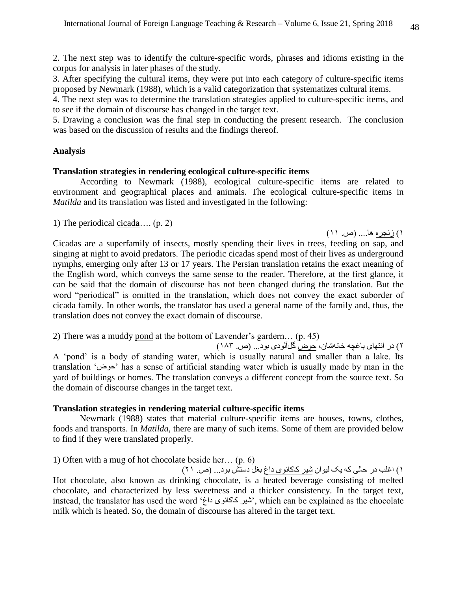2. The next step was to identify the culture-specific words, phrases and idioms existing in the corpus for analysis in later phases of the study.

3. After specifying the cultural items, they were put into each category of culture-specific items proposed by Newmark (1988), which is a valid categorization that systematizes cultural items.

4. The next step was to determine the translation strategies applied to culture-specific items, and to see if the domain of discourse has changed in the target text.

5. Drawing a conclusion was the final step in conducting the present research. The conclusion was based on the discussion of results and the findings thereof.

# **Analysis**

# **Translation strategies in rendering ecological culture-specific items**

According to Newmark (1988), ecological culture-specific items are related to environment and geographical places and animals. The ecological culture-specific items in *Matilda* and its translation was listed and investigated in the following:

1) The periodical cicada…. (p. 2)

1( زنجره ها.... )ص. 11(

Cicadas are a superfamily of insects, mostly spending their lives in trees, feeding on sap, and singing at night to avoid predators. The periodic cicadas spend most of their lives as underground nymphs, emerging only after 13 or 17 years. The Persian translation retains the exact meaning of the English word, which conveys the same sense to the reader. Therefore, at the first glance, it can be said that the domain of discourse has not been changed during the translation. But the word "periodical" is omitted in the translation, which does not convey the exact suborder of cicada family. In other words, the translator has used a general name of the family and, thus, the translation does not convey the exact domain of discourse.

2) There was a muddy pond at the bottom of Lavender's gardern… (p. 45)

2( در انتهای باغچه خانهشان، حوض گلآلودی بود... )ص. 181( A 'pond' is a body of standing water, which is usually natural and smaller than a lake. Its translation 'حوض 'has a sense of artificial standing water which is usually made by man in the yard of buildings or homes. The translation conveys a different concept from the source text. So the domain of discourse changes in the target text.

# **Translation strategies in rendering material culture-specific items**

Newmark (1988) states that material culture-specific items are houses, towns, clothes, foods and transports. In *Matilda,* there are many of such items. Some of them are provided below to find if they were translated properly.

1) Often with a mug of hot chocolate beside her… (p. 6)

1( اغلب در حالی که یک لیوان شیر کاکائوی داغ بغل دستش بود... )ص. 21( Hot chocolate, also known as drinking chocolate, is a heated beverage consisting of melted chocolate, and characterized by less sweetness and a thicker consistency. In the target text, instead, the translator has used the word 'شیر کاکائوی داغ<sup>,</sup> which can be explained as the chocolate milk which is heated. So, the domain of discourse has altered in the target text.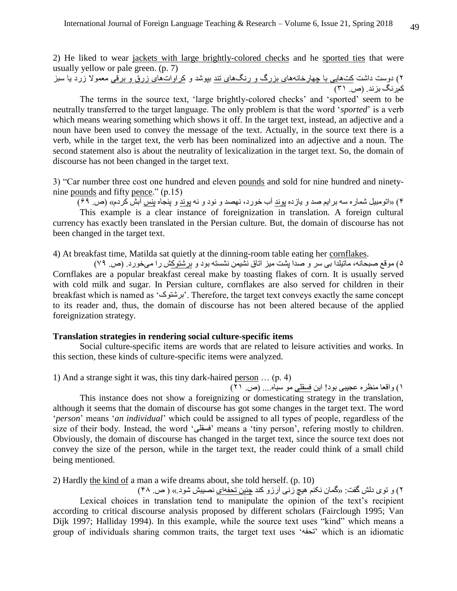2) He liked to wear jackets with large brightly-colored checks and he sported ties that were usually yellow or pale green. (p. 7)

2( دوست داشت کتهایی با چهارخانههای بزرگ و رنگهای تند بپوشد و کراواتهای زرق و برقی معموال زرد یا سبز کمرنگ بزند. )ص. 11(

The terms in the source text, 'large brightly-colored checks' and 'sported' seem to be neutrally transferred to the target language. The only problem is that the word '*sported*' is a verb which means wearing something which shows it off. In the target text, instead, an adjective and a noun have been used to convey the message of the text. Actually, in the source text there is a verb, while in the target text, the verb has been nominalized into an adjective and a noun. The second statement also is about the neutrality of lexicalization in the target text. So, the domain of discourse has not been changed in the target text.

3) "Car number three cost one hundred and eleven pounds and sold for nine hundred and ninetynine pounds and fifty pence." (p.15)

4( »اتومبیل شماره سه برایم صد و یازده پوند آب خورد، نهصد و نود و نه پوند و پنجاه پنس آبش کردم« )ص. 96(

This example is a clear instance of foreignization in translation. A foreign cultural currency has exactly been translated in the Persian culture. But, the domain of discourse has not been changed in the target text.

4) At breakfast time, Matilda sat quietly at the dinning-room table eating her cornflakes.

5( موقع صبحانه، ماتیلدا بی سر و صدا پشت میز اتاق نشیمن نشسته بود و برشتوکش را میخورد. )ص. 96( Cornflakes are a popular breakfast cereal make by toasting flakes of corn. It is usually served with cold milk and sugar. In Persian culture, cornflakes are also served for children in their breakfast which is named as 'برشتوک'. Therefore, the target text conveys exactly the same concept to its reader and, thus, the domain of discourse has not been altered because of the applied foreignization strategy.

# **Translation strategies in rendering social culture-specific items**

Social culture-specific items are words that are related to leisure activities and works. In this section, these kinds of culture-specific items were analyzed.

1) And a strange sight it was, this tiny dark-haired person … (p. 4)

1( واقعا منظره عجیبی بود! این فسقلی مو سیاه.... )ص. 21( This instance does not show a foreignizing or domesticating strategy in the translation, although it seems that the domain of discourse has got some changes in the target text. The word '*person*' means '*an individual*' which could be assigned to all types of people, regardless of the size of their body. Instead, the word 'فسقلی 'means a 'tiny person', refering mostly to children. Obviously, the domain of discourse has changed in the target text, since the source text does not convey the size of the person, while in the target text, the reader could think of a small child being mentioned.

2) Hardly the kind of a man a wife dreams about, she told herself. (p. 10)

2( و توی دلش گفت: »گمان نکنم هیچ زنی آرزو کند چنین تحفهای نصیبش شود.« ) ص. 48( Lexical choices in translation tend to manipulate the opinion of the text's recipient according to critical discourse analysis proposed by different scholars (Fairclough 1995; Van Dijk 1997; Halliday 1994). In this example, while the source text uses "kind" which means a group of individuals sharing common traits, the target text uses 'تحفه 'which is an idiomatic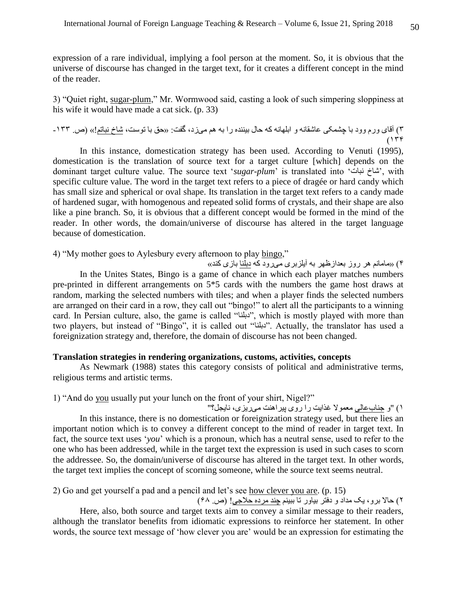expression of a rare individual, implying a fool person at the moment. So, it is obvious that the universe of discourse has changed in the target text, for it creates a different concept in the mind of the reader.

3) "Quiet right, sugar-plum," Mr. Wormwood said, casting a look of such simpering sloppiness at his wife it would have made a cat sick. (p. 33)

۳) آقای ورم وود با چشمکی عاشقانه و ابلهانه که حال بیننده را به هم میزد، گفت: «حق با توست، شاخ نباتم!» (ص. ۱۳۳- $(159)$ 

In this instance, domestication strategy has been used. According to Venuti (1995), domestication is the translation of source text for a target culture [which] depends on the dominant target culture value. The source text 'sugar-plum' is translated into 'شاخ نبات', with specific culture value. The word in the target text refers to a piece of dragée or hard candy which has small size and spherical or oval shape. Its translation in the target text refers to a candy made of hardened sugar, with homogenous and repeated solid forms of crystals, and their shape are also like a pine branch. So, it is obvious that a different concept would be formed in the mind of the reader. In other words, the domain/universe of discourse has altered in the target language because of domestication.

4) "My mother goes to Aylesbury every afternoon to play bingo,"

4( »مامانم هر روز بعدازظهر به آیلزبری میرود که دبلنا بازی کند« In the Unites States, Bingo is a game of chance in which each player matches numbers pre-printed in different arrangements on 5\*5 cards with the numbers the game host draws at random, marking the selected numbers with tiles; and when a player finds the selected numbers are arranged on their card in a row, they call out "bingo!" to alert all the participants to a winning card. In Persian culture, also, the game is called "دبلنا", which is mostly played with more than two players, but instead of "Bingo", it is called out "دبلنا". Actually, the translator has used a foreignization strategy and, therefore, the domain of discourse has not been changed.

# **Translation strategies in rendering organizations, customs, activities, concepts**

As Newmark (1988) states this category consists of political and administrative terms, religious terms and artistic terms.

## 1) "And do you usually put your lunch on the front of your shirt, Nigel?"

1( "و جنابعالی معموال غذایت را روی پیراهنت میریزی، نایجل؟" In this instance, there is no domestication or foreignization strategy used, but there lies an important notion which is to convey a different concept to the mind of reader in target text. In fact, the source text uses '*you*' which is a pronoun, which has a neutral sense, used to refer to the one who has been addressed, while in the target text the expression is used in such cases to scorn the addressee. So, the domain/universe of discourse has altered in the target text. In other words, the target text implies the concept of scorning someone, while the source text seems neutral.

2) Go and get yourself a pad and a pencil and let's see how clever you are. (p. 15)

2( حاال برو، یک مداد و دفتر بیاور تا ببینم چند مرده حالجی! )ص. 98(

Here, also, both source and target texts aim to convey a similar message to their readers, although the translator benefits from idiomatic expressions to reinforce her statement. In other words, the source text message of 'how clever you are' would be an expression for estimating the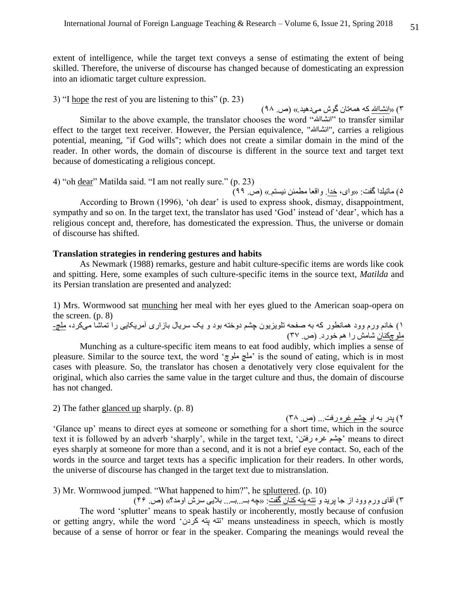extent of intelligence, while the target text conveys a sense of estimating the extent of being skilled. Therefore, the universe of discourse has changed because of domesticating an expression into an idiomatic target culture expression.

# 3) "I hope the rest of you are listening to this" (p. 23)

1( »انشاهللا که همهتان گوش میدهید.« )ص. 68( Similar to the above example, the translator chooses the word "انشاالله" to transfer similar effect to the target text receiver. However, the Persian equivalence, "انشاهللا", carries a religious potential, meaning, "if God wills"; which does not create a similar domain in the mind of the reader. In other words, the domain of discourse is different in the source text and target text because of domesticating a religious concept.

4) "oh dear" Matilda said. "I am not really sure." (p. 23)

5( ماتیلدا گفت: »وای، خدا. واقعا مطمئن نیستم.« )ص. 66( According to Brown (1996), 'oh dear' is used to express shook, dismay, disappointment, sympathy and so on. In the target text, the translator has used 'God' instead of 'dear', which has a religious concept and, therefore, has domesticated the expression. Thus, the universe or domain of discourse has shifted.

### **Translation strategies in rendering gestures and habits**

As Newmark (1988) remarks, gesture and habit culture-specific items are words like cook and spitting. Here, some examples of such culture-specific items in the source text, *Matilda* and its Persian translation are presented and analyzed:

1) Mrs. Wormwood sat munching her meal with her eyes glued to the American soap-opera on the screen. (p. 8)

1( خانم ورم وود همانطور که به صفحه تلویزیون چشم دوخته بود و یک سریال بازاری آمریکایی را تماشا میکرد، ملچ- ملوچکنان شامش را هم خورد. )ص. 19(

Munching as a culture-specific item means to eat food audibly, which implies a sense of pleasure. Similar to the source text, the word 'ملوچ ملچ 'is the sound of eating, which is in most cases with pleasure. So, the translator has chosen a denotatively very close equivalent for the original, which also carries the same value in the target culture and thus, the domain of discourse has not changed.

2) The father glanced up sharply. (p. 8)

2( پدر به او چشم غره رفت... )ص. 18(

'Glance up' means to direct eyes at someone or something for a short time, which in the source text it is followed by an adverb 'sharply', while in the target text, 'رفتن غره چشم 'means to direct eyes sharply at someone for more than a second, and it is not a brief eye contact. So, each of the words in the source and target texts has a specific implication for their readers. In other words, the universe of discourse has changed in the target text due to mistranslation.

# 3) Mr. Wormwood jumped. "What happened to him?", he spluttered. (p. 10)

1( آقای ورم وود از جا پرید و تته پته کنان گفت: »چه بــ...بــ... بالیی سرش اومد؟« )ص. 49(

The word 'splutter' means to speak hastily or incoherently, mostly because of confusion or getting angry, while the word 'کردن پته تته 'means unsteadiness in speech, which is mostly because of a sense of horror or fear in the speaker. Comparing the meanings would reveal the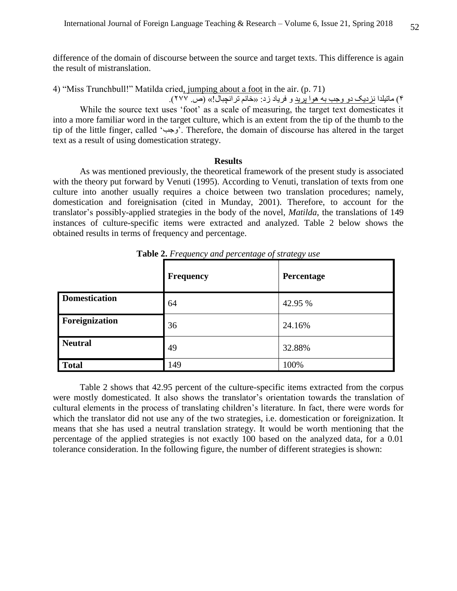difference of the domain of discourse between the source and target texts. This difference is again the result of mistranslation.

4) "Miss Trunchbull!" Matilda cried, jumping about a foot in the air. (p. 71)

4( ماتیلدا نزدیک دو وجب به هوا پرید و فریاد زد: »خانم ترانچبال!« )ص. 299(. While the source text uses 'foot' as a scale of measuring, the target text domesticates it into a more familiar word in the target culture, which is an extent from the tip of the thumb to the tip of the little finger, called 'وجب'. Therefore, the domain of discourse has altered in the target text as a result of using domestication strategy.

### **Results**

As was mentioned previously, the theoretical framework of the present study is associated with the theory put forward by Venuti (1995). According to Venuti, translation of texts from one culture into another usually requires a choice between two translation procedures; namely, domestication and foreignisation (cited in Munday, 2001). Therefore, to account for the translator's possibly-applied strategies in the body of the novel, *Matilda*, the translations of 149 instances of culture-specific items were extracted and analyzed. Table 2 below shows the obtained results in terms of frequency and percentage.

|                      | <b>Frequency</b> | Percentage |
|----------------------|------------------|------------|
| <b>Domestication</b> | 64               | 42.95 %    |
| Foreignization       | 36               | 24.16%     |
| <b>Neutral</b>       | 49               | 32.88%     |
| <b>Total</b>         | 149              | 100%       |

**Table 2.** *Frequency and percentage of strategy use*

Table 2 shows that 42.95 percent of the culture-specific items extracted from the corpus were mostly domesticated. It also shows the translator's orientation towards the translation of cultural elements in the process of translating children's literature. In fact, there were words for which the translator did not use any of the two strategies, i.e. domestication or foreignization. It means that she has used a neutral translation strategy. It would be worth mentioning that the percentage of the applied strategies is not exactly 100 based on the analyzed data, for a 0.01 tolerance consideration. In the following figure, the number of different strategies is shown: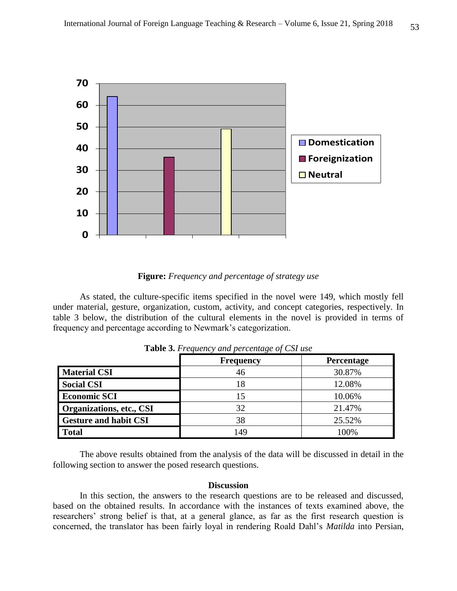

**Figure:** *Frequency and percentage of strategy use*

As stated, the culture-specific items specified in the novel were 149, which mostly fell under material, gesture, organization, custom, activity, and concept categories, respectively. In table 3 below, the distribution of the cultural elements in the novel is provided in terms of frequency and percentage according to Newmark's categorization.

|                              | <b>Frequency</b> | <b>Percentage</b> |
|------------------------------|------------------|-------------------|
| <b>Material CSI</b>          | 46               | 30.87%            |
| <b>Social CSI</b>            | 18               | 12.08%            |
| <b>Economic SCI</b>          | 15               | 10.06%            |
| Organizations, etc., CSI     | 32               | 21.47%            |
| <b>Gesture and habit CSI</b> | 38               | 25.52%            |
| <b>Total</b>                 | 149              | 100%              |

**Table 3.** *Frequency and percentage of CSI use*

The above results obtained from the analysis of the data will be discussed in detail in the following section to answer the posed research questions.

#### **Discussion**

In this section, the answers to the research questions are to be released and discussed, based on the obtained results. In accordance with the instances of texts examined above, the researchers' strong belief is that, at a general glance, as far as the first research question is concerned, the translator has been fairly loyal in rendering Roald Dahl's *Matilda* into Persian,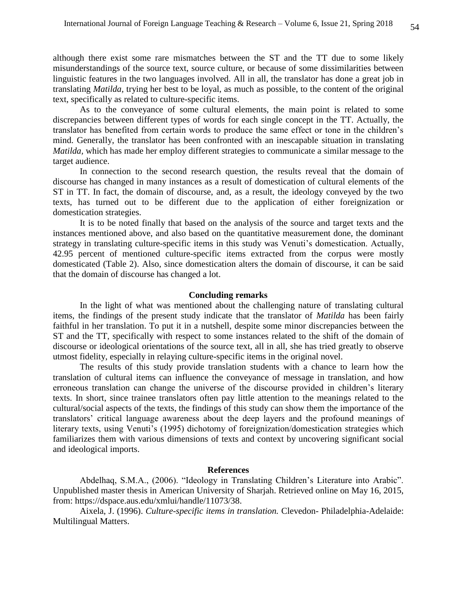although there exist some rare mismatches between the ST and the TT due to some likely misunderstandings of the source text, source culture, or because of some dissimilarities between linguistic features in the two languages involved. All in all, the translator has done a great job in translating *Matilda,* trying her best to be loyal, as much as possible, to the content of the original text, specifically as related to culture-specific items.

As to the conveyance of some cultural elements, the main point is related to some discrepancies between different types of words for each single concept in the TT. Actually, the translator has benefited from certain words to produce the same effect or tone in the children's mind. Generally, the translator has been confronted with an inescapable situation in translating *Matilda,* which has made her employ different strategies to communicate a similar message to the target audience.

In connection to the second research question, the results reveal that the domain of discourse has changed in many instances as a result of domestication of cultural elements of the ST in TT. In fact, the domain of discourse, and, as a result, the ideology conveyed by the two texts, has turned out to be different due to the application of either foreignization or domestication strategies.

It is to be noted finally that based on the analysis of the source and target texts and the instances mentioned above, and also based on the quantitative measurement done, the dominant strategy in translating culture-specific items in this study was Venuti's domestication. Actually, 42.95 percent of mentioned culture-specific items extracted from the corpus were mostly domesticated (Table 2). Also, since domestication alters the domain of discourse, it can be said that the domain of discourse has changed a lot.

### **Concluding remarks**

In the light of what was mentioned about the challenging nature of translating cultural items, the findings of the present study indicate that the translator of *Matilda* has been fairly faithful in her translation. To put it in a nutshell, despite some minor discrepancies between the ST and the TT, specifically with respect to some instances related to the shift of the domain of discourse or ideological orientations of the source text, all in all, she has tried greatly to observe utmost fidelity, especially in relaying culture-specific items in the original novel.

The results of this study provide translation students with a chance to learn how the translation of cultural items can influence the conveyance of message in translation, and how erroneous translation can change the universe of the discourse provided in children's literary texts. In short, since trainee translators often pay little attention to the meanings related to the cultural/social aspects of the texts, the findings of this study can show them the importance of the translators' critical language awareness about the deep layers and the profound meanings of literary texts, using Venuti's (1995) dichotomy of foreignization/domestication strategies which familiarizes them with various dimensions of texts and context by uncovering significant social and ideological imports.

#### **References**

Abdelhaq, S.M.A., (2006). "Ideology in Translating Children's Literature into Arabic". Unpublished master thesis in American University of Sharjah. Retrieved online on May 16, 2015, from: [https://dspace.aus.edu/xmlui/handle/11073/38.](https://dspace.aus.edu/xmlui/handle/11073/38)

Aixela, J. (1996). *Culture-specific items in translation.* Clevedon- Philadelphia-Adelaide: Multilingual Matters.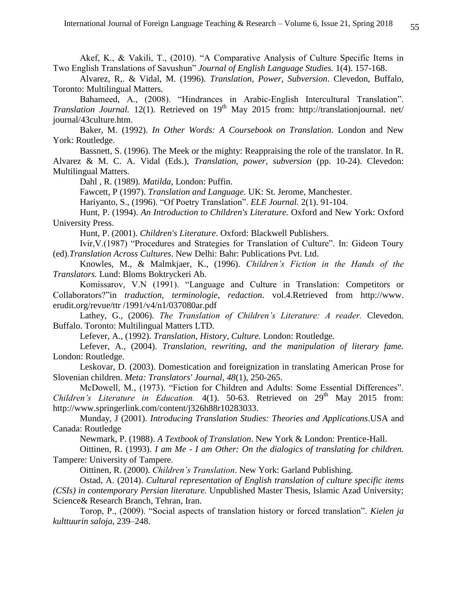Akef, K., & Vakili, T., (2010). "A Comparative Analysis of Culture Specific Items in Two English Translations of Savushun" *Journal of English Language Studies.* 1(4). 157-168.

Alvarez, R,. & Vidal, M. (1996). *Translation, Power, Subversion*. Clevedon, Buffalo, Toronto: Multilingual Matters.

Bahameed, A., (2008). "Hindrances in Arabic-English Intercultural Translation". *Translation Journal.* 12(1). Retrieved on 19<sup>th</sup> May 2015 from: http://translationjournal. net/ journal/43culture.htm.

Baker, M. (1992). *In Other Words: A Coursebook on Translation*. London and New York: Routledge.

Bassnett, S. (1996). The Meek or the mighty: Reappraising the role of the translator. In R. Alvarez & M. C. A. Vidal (Eds.), *Translation, power, subversion* (pp. 10-24). Clevedon: Multilingual Matters.

Dahl , R. (1989). *Matilda*, London: Puffin.

Fawcett, P (1997). *Translation and Language*. UK: St. Jerome, Manchester.

Hariyanto, S., (1996). "Of Poetry Translation". *ELE Journal.* 2(1). 91-104.

Hunt, P. (1994). *An Introduction to Children's Literature.* Oxford and New York: Oxford University Press.

Hunt, P. (2001). *Children's Literature*. Oxford: Blackwell Publishers.

Ivir,V.(1987) "Procedures and Strategies for Translation of Culture". In: Gideon Toury (ed).*Translation Across Cultures*. New Delhi: Bahr: Publications Pvt. Ltd.

Knowles, M., & Malmkjaer, K., (1996). *Children's Fiction in the Hands of the Translators.* Lund: Bloms Boktryckeri Ab.

Komissarov, V.N (1991). "Language and Culture in Translation: Competitors or Collaborators?"in *traduction, terminologie, redaction*. vol.4.Retrieved from [http://www.](http://www/) erudit.org/revue/ttr /1991/v4/n1/037080ar.pdf

Lathey, G., (2006). *The Translation of Children's Literature: A reader.* Clevedon. Buffalo. Toronto: Multilingual Matters LTD.

Lefever, A., (1992). *Translation, History, Culture.* London: Routledge.

Lefever, A., (2004). *Translation, rewriting, and the manipulation of literary fame.* London: Routledge.

Leskovar, D. (2003). Domestication and foreignization in translating American Prose for Slovenian children. *Meta: Translators' Journal, 48*(1), 250-265.

McDowell, M., (1973). "Fiction for Children and Adults: Some Essential Differences". *Children's Literature in Education.* 4(1). 50-63. Retrieved on 29<sup>th</sup> May 2015 from: http://www.springerlink.com/content/j326h88r10283033.

Munday, J (2001). *Introducing Translation Studies: Theories and Applications*.USA and Canada: Routledge

Newmark, P. (1988). *A Textbook of Translation*. New York & London: Prentice-Hall.

Oittinen, R. (1993). *I am Me - I am Other: On the dialogics of translating for children.* Tampere: University of Tampere.

Oittinen, R. (2000). *Children's Translation*. New York: Garland Publishing.

Ostad, A. (2014). *Cultural representation of English translation of culture specific items (CSIs) in contemporary Persian literature.* Unpublished Master Thesis, Islamic Azad University; Science& Research Branch, Tehran, Iran.

Torop, P., (2009). "Social aspects of translation history or forced translation". *Kielen ja kulttuurin saloja,* 239–248.